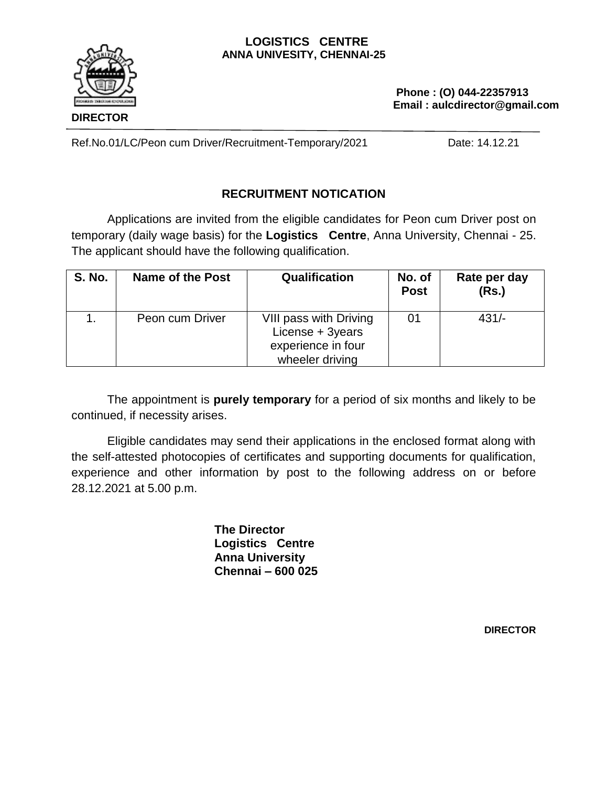#### **LOGISTICS CENTRE ANNA UNIVESITY, CHENNAI-25**



 Ref.No.01/LC/Peon cum Driver/Recruitment-Temporary/2021 Date: 14.12.21

# **RECRUITMENT NOTICATION**

Applications are invited from the eligible candidates for Peon cum Driver post on temporary (daily wage basis) for the **Logistics Centre**, Anna University, Chennai - 25. The applicant should have the following qualification.

| <b>S. No.</b> | <b>Name of the Post</b> | Qualification                                                                       | No. of<br><b>Post</b> | Rate per day<br>(Rs.) |
|---------------|-------------------------|-------------------------------------------------------------------------------------|-----------------------|-----------------------|
|               | Peon cum Driver         | VIII pass with Driving<br>License + 3years<br>experience in four<br>wheeler driving | 01                    | $431/-$               |

The appointment is **purely temporary** for a period of six months and likely to be continued, if necessity arises.

Eligible candidates may send their applications in the enclosed format along with the self-attested photocopies of certificates and supporting documents for qualification, experience and other information by post to the following address on or before 28.12.2021 at 5.00 p.m.

> **The Director Logistics Centre Anna University Chennai – 600 025**

> > **DIRECTOR**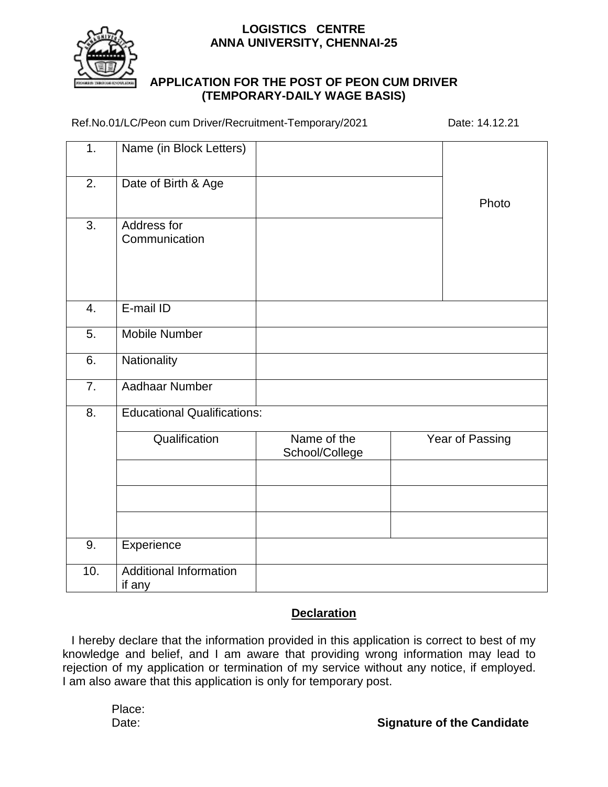### **LOGISTICS CENTRE ANNA UNIVERSITY, CHENNAI-25**



### **APPLICATION FOR THE POST OF PEON CUM DRIVER (TEMPORARY-DAILY WAGE BASIS)**

Ref.No.01/LC/Peon cum Driver/Recruitment-Temporary/2021 Date: 14.12.21

| 1.               | Name (in Block Letters)                 |                               |  |                 |  |
|------------------|-----------------------------------------|-------------------------------|--|-----------------|--|
| $\overline{2}$ . | Date of Birth & Age                     |                               |  | Photo           |  |
| 3.               | Address for<br>Communication            |                               |  |                 |  |
| $\overline{4}$ . | E-mail ID                               |                               |  |                 |  |
| 5.               | <b>Mobile Number</b>                    |                               |  |                 |  |
| 6.               | Nationality                             |                               |  |                 |  |
| $\overline{7}$ . | <b>Aadhaar Number</b>                   |                               |  |                 |  |
| 8.               | <b>Educational Qualifications:</b>      |                               |  |                 |  |
|                  | Qualification                           | Name of the<br>School/College |  | Year of Passing |  |
|                  |                                         |                               |  |                 |  |
|                  |                                         |                               |  |                 |  |
| 9.               | Experience                              |                               |  |                 |  |
| 10.              | <b>Additional Information</b><br>if any |                               |  |                 |  |

# **Declaration**

I hereby declare that the information provided in this application is correct to best of my knowledge and belief, and I am aware that providing wrong information may lead to rejection of my application or termination of my service without any notice, if employed. I am also aware that this application is only for temporary post.

Place: